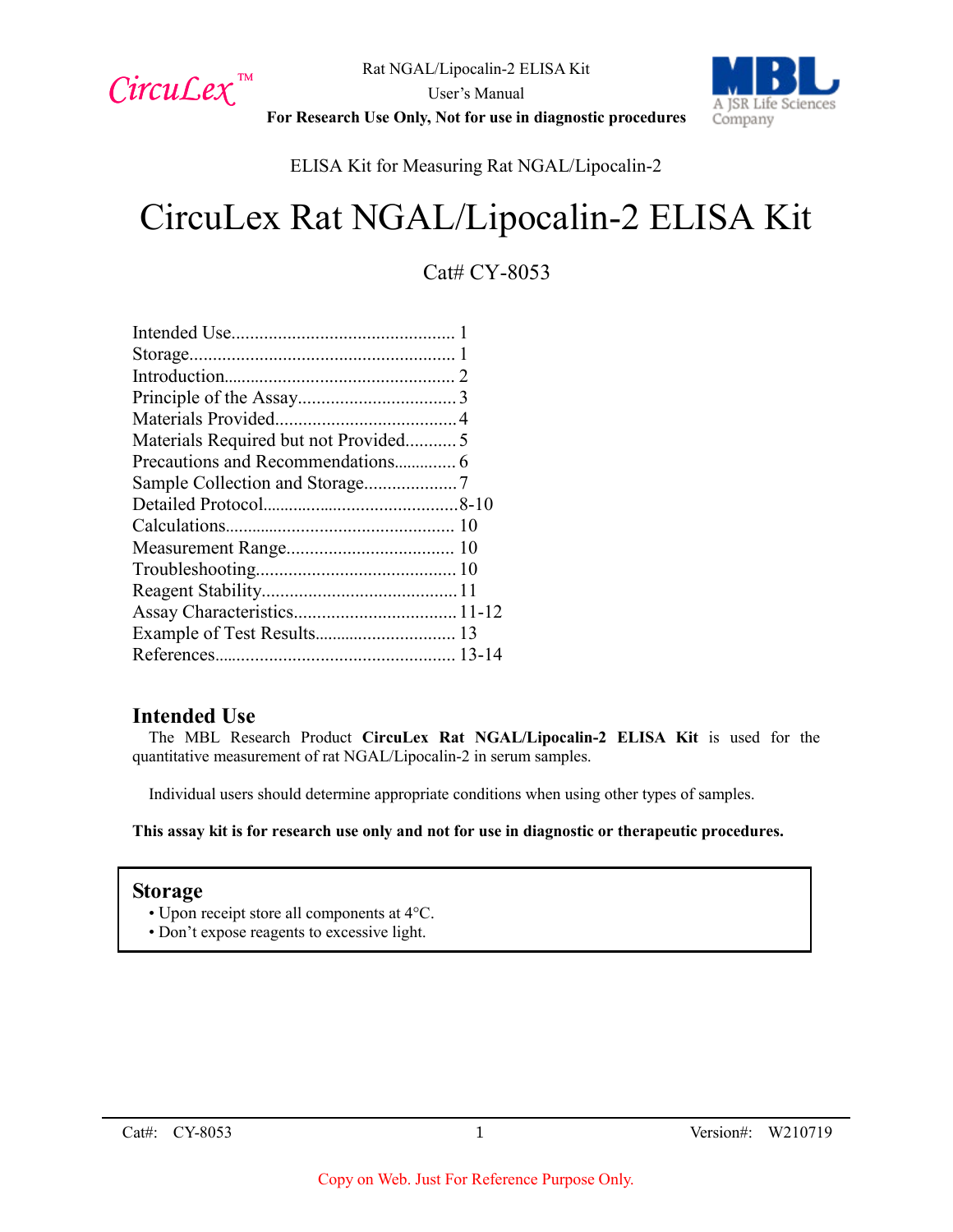

User's Manual



**For Research Use Only, Not for use in diagnostic procedures**

ELISA Kit for Measuring Rat NGAL/Lipocalin-2

# CircuLex Rat NGAL/Lipocalin-2 ELISA Kit

# Cat# CY-8053

| Materials Required but not Provided5 |  |
|--------------------------------------|--|
| Precautions and Recommendations 6    |  |
|                                      |  |
|                                      |  |
|                                      |  |
|                                      |  |
|                                      |  |
|                                      |  |
|                                      |  |
| Example of Test Results 13           |  |
|                                      |  |
|                                      |  |

## **Intended Use**

The MBL Research Product **CircuLex Rat NGAL/Lipocalin-2 ELISA Kit** is used for the quantitative measurement of rat NGAL/Lipocalin-2 in serum samples.

Individual users should determine appropriate conditions when using other types of samples.

**This assay kit is for research use only and not for use in diagnostic or therapeutic procedures.**

## **Storage**

- Upon receipt store all components at 4°C.
- Don't expose reagents to excessive light.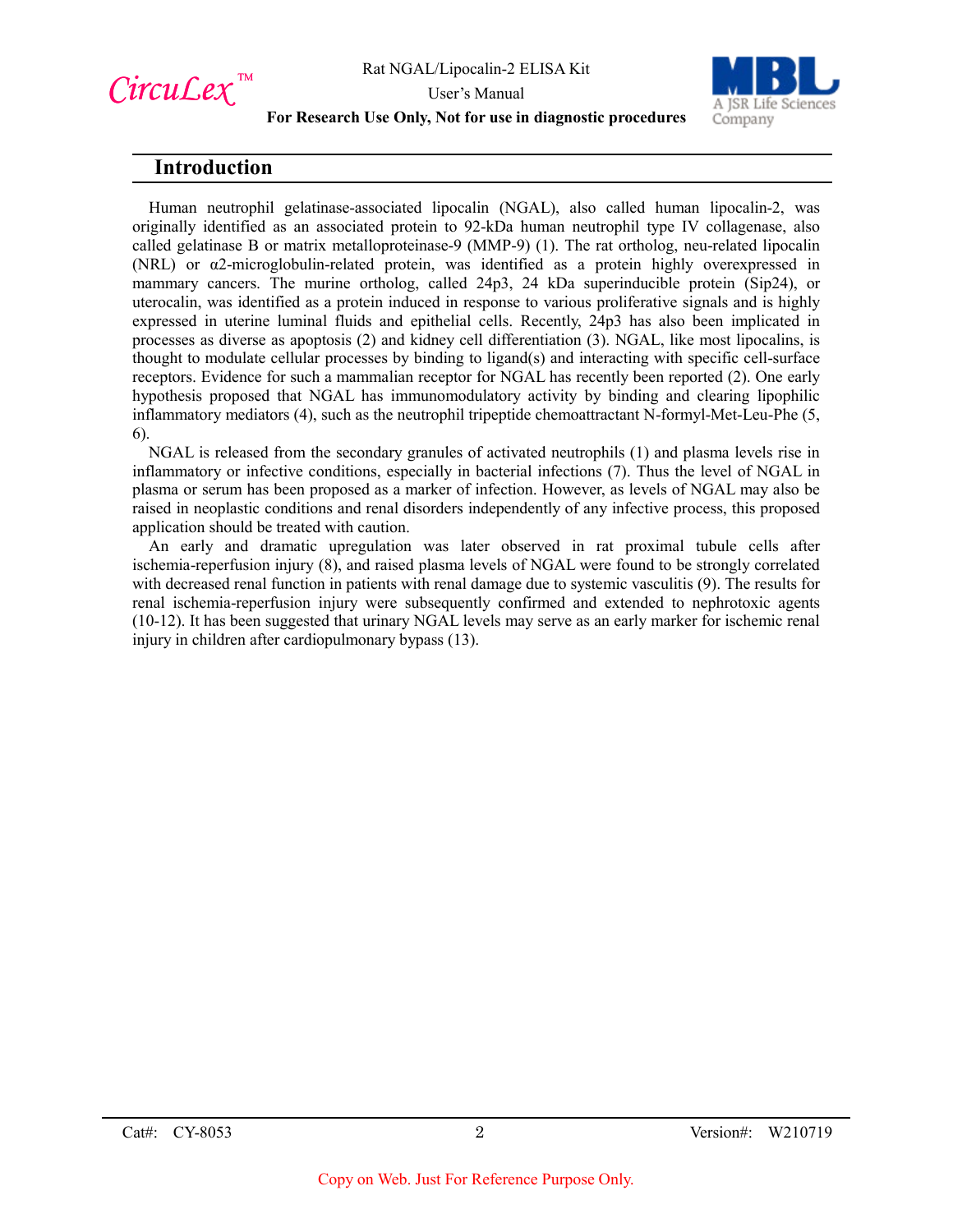

User's Manual



#### **For Research Use Only, Not for use in diagnostic procedures**

## **Introduction**

Human neutrophil gelatinase-associated lipocalin (NGAL), also called human lipocalin-2, was originally identified as an associated protein to 92-kDa human neutrophil type IV collagenase, also called gelatinase B or matrix metalloproteinase-9 (MMP-9) (1). The rat ortholog, neu-related lipocalin (NRL) or α2-microglobulin-related protein, was identified as a protein highly overexpressed in mammary cancers. The murine ortholog, called 24p3, 24 kDa superinducible protein (Sip24), or uterocalin, was identified as a protein induced in response to various proliferative signals and is highly expressed in uterine luminal fluids and epithelial cells. Recently, 24p3 has also been implicated in processes as diverse as apoptosis (2) and kidney cell differentiation (3). NGAL, like most lipocalins, is thought to modulate cellular processes by binding to ligand(s) and interacting with specific cell-surface receptors. Evidence for such a mammalian receptor for NGAL has recently been reported (2). One early hypothesis proposed that NGAL has immunomodulatory activity by binding and clearing lipophilic inflammatory mediators (4), such as the neutrophil tripeptide chemoattractant N-formyl-Met-Leu-Phe (5, 6).

NGAL is released from the secondary granules of activated neutrophils (1) and plasma levels rise in inflammatory or infective conditions, especially in bacterial infections (7). Thus the level of NGAL in plasma or serum has been proposed as a marker of infection. However, as levels of NGAL may also be raised in neoplastic conditions and renal disorders independently of any infective process, this proposed application should be treated with caution.

An early and dramatic upregulation was later observed in rat proximal tubule cells after ischemia-reperfusion injury (8), and raised plasma levels of NGAL were found to be strongly correlated with decreased renal function in patients with renal damage due to systemic vasculitis (9). The results for renal ischemia-reperfusion injury were subsequently confirmed and extended to nephrotoxic agents (10-12). It has been suggested that urinary NGAL levels may serve as an early marker for ischemic renal injury in children after cardiopulmonary bypass (13).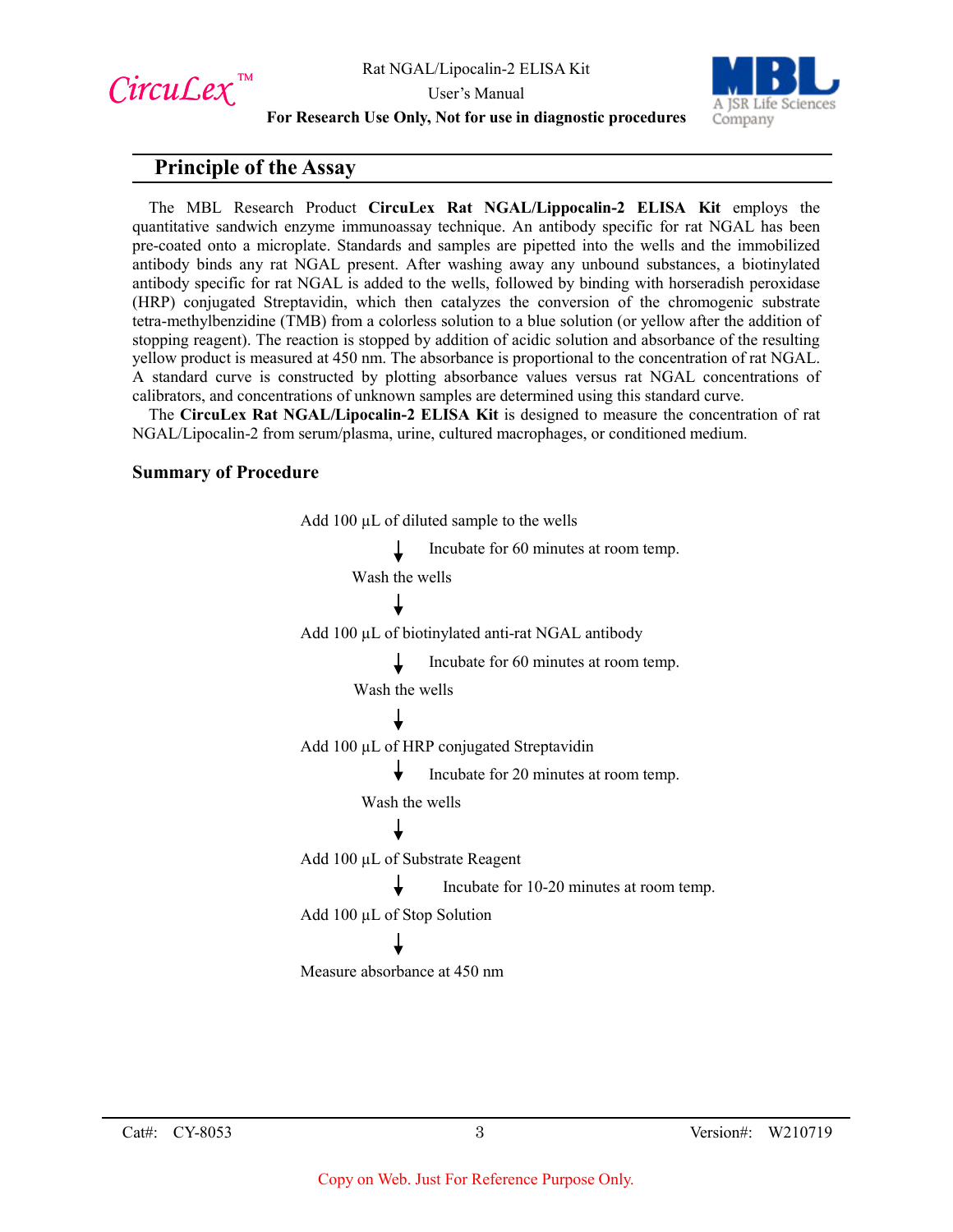CircuLex<sup>™</sup>

User's Manual



**For Research Use Only, Not for use in diagnostic procedures**

## **Principle of the Assay**

The MBL Research Product **CircuLex Rat NGAL/Lippocalin-2 ELISA Kit** employs the quantitative sandwich enzyme immunoassay technique. An antibody specific for rat NGAL has been pre-coated onto a microplate. Standards and samples are pipetted into the wells and the immobilized antibody binds any rat NGAL present. After washing away any unbound substances, a biotinylated antibody specific for rat NGAL is added to the wells, followed by binding with horseradish peroxidase (HRP) conjugated Streptavidin, which then catalyzes the conversion of the chromogenic substrate tetra-methylbenzidine (TMB) from a colorless solution to a blue solution (or yellow after the addition of stopping reagent). The reaction is stopped by addition of acidic solution and absorbance of the resulting yellow product is measured at 450 nm. The absorbance is proportional to the concentration of rat NGAL. A standard curve is constructed by plotting absorbance values versus rat NGAL concentrations of calibrators, and concentrations of unknown samples are determined using this standard curve.

The **CircuLex Rat NGAL/Lipocalin-2 ELISA Kit** is designed to measure the concentration of rat NGAL/Lipocalin-2 from serum/plasma, urine, cultured macrophages, or conditioned medium.

#### **Summary of Procedure**

Add 100  $\mu$ L of diluted sample to the wells Incubate for 60 minutes at room temp. Wash the wells Add 100 µL of biotinylated anti-rat NGAL antibody Incubate for 60 minutes at room temp. Wash the wells Add 100 µL of HRP conjugated Streptavidin Incubate for 20 minutes at room temp. Wash the wells Add 100 µL of Substrate Reagent Incubate for 10-20 minutes at room temp. Add 100 µL of Stop Solution Measure absorbance at 450 nm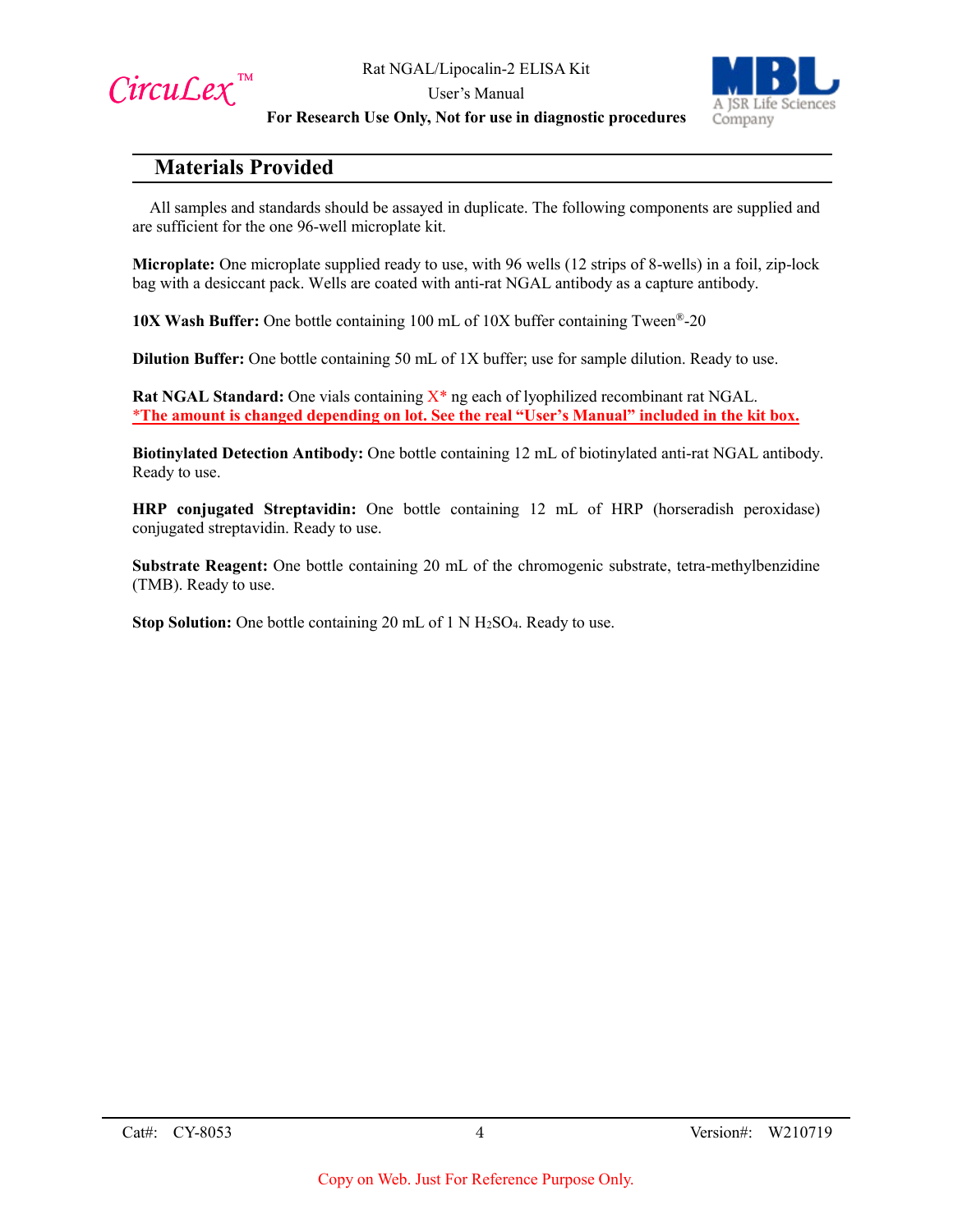

User's Manual



**For Research Use Only, Not for use in diagnostic procedures**

## **Materials Provided**

All samples and standards should be assayed in duplicate. The following components are supplied and are sufficient for the one 96-well microplate kit.

**Microplate:** One microplate supplied ready to use, with 96 wells (12 strips of 8-wells) in a foil, zip-lock bag with a desiccant pack. Wells are coated with anti-rat NGAL antibody as a capture antibody.

**10X Wash Buffer:** One bottle containing 100 mL of 10X buffer containing Tween®-20

**Dilution Buffer:** One bottle containing 50 mL of 1X buffer; use for sample dilution. Ready to use.

Rat NGAL Standard: One vials containing X<sup>\*</sup> ng each of lyophilized recombinant rat NGAL. \***The amount is changed depending on lot. See the real "User's Manual" included in the kit box.**

**Biotinylated Detection Antibody:** One bottle containing 12 mL of biotinylated anti-rat NGAL antibody. Ready to use.

**HRP conjugated Streptavidin:** One bottle containing 12 mL of HRP (horseradish peroxidase) conjugated streptavidin. Ready to use.

**Substrate Reagent:** One bottle containing 20 mL of the chromogenic substrate, tetra-methylbenzidine (TMB). Ready to use.

**Stop Solution:** One bottle containing 20 mL of 1 N H<sub>2</sub>SO<sub>4</sub>. Ready to use.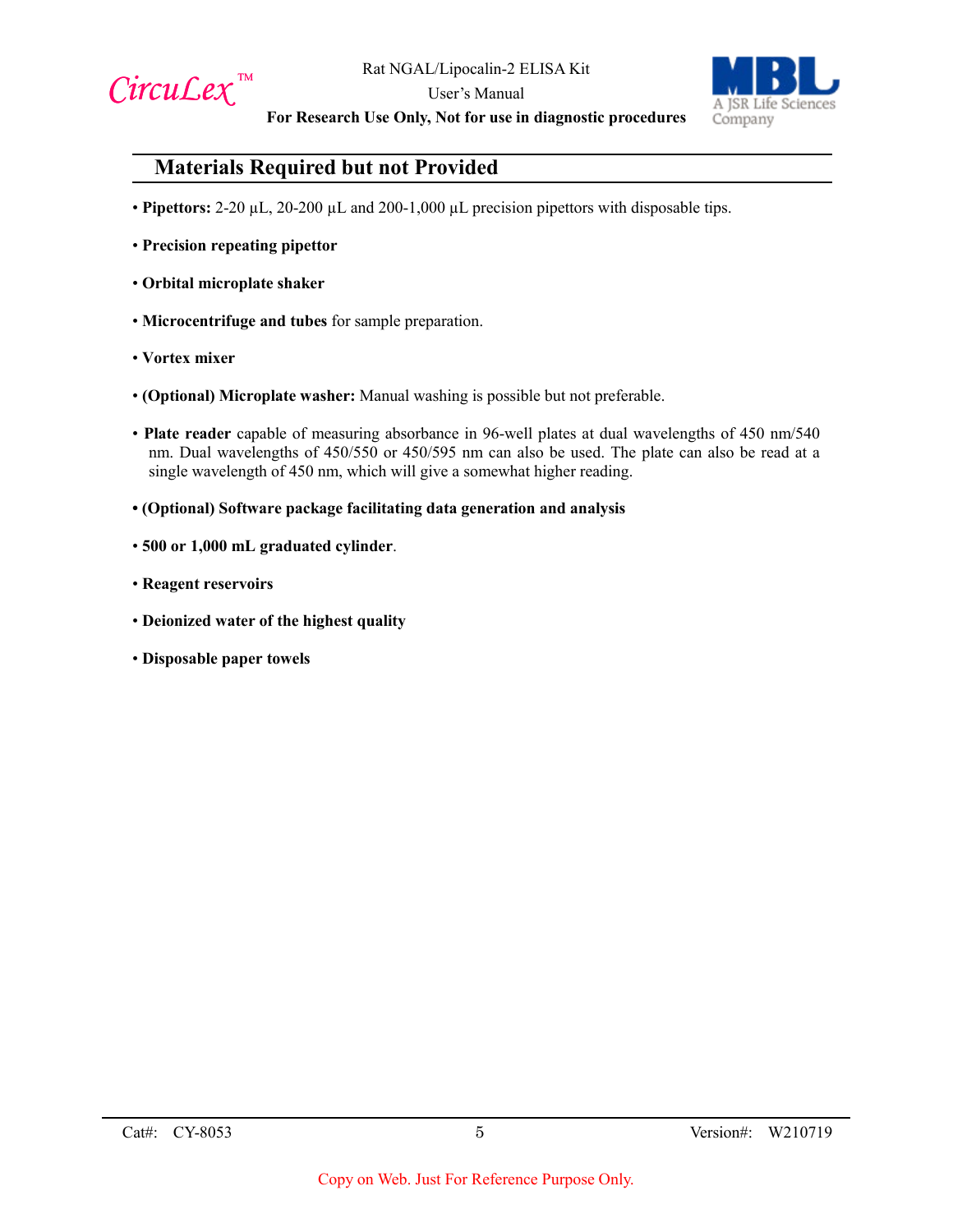



**For Research Use Only, Not for use in diagnostic procedures**

# **Materials Required but not Provided**

- **Pipettors:** 2-20 µL, 20-200 µL and 200-1,000 µL precision pipettors with disposable tips.
- **Precision repeating pipettor**
- **Orbital microplate shaker**
- **Microcentrifuge and tubes** for sample preparation.
- **Vortex mixer**
- **(Optional) Microplate washer:** Manual washing is possible but not preferable.
- **Plate reader** capable of measuring absorbance in 96-well plates at dual wavelengths of 450 nm/540 nm. Dual wavelengths of 450/550 or 450/595 nm can also be used. The plate can also be read at a single wavelength of 450 nm, which will give a somewhat higher reading.
- **(Optional) Software package facilitating data generation and analysis**
- **500 or 1,000 mL graduated cylinder**.
- **Reagent reservoirs**
- **Deionized water of the highest quality**
- **Disposable paper towels**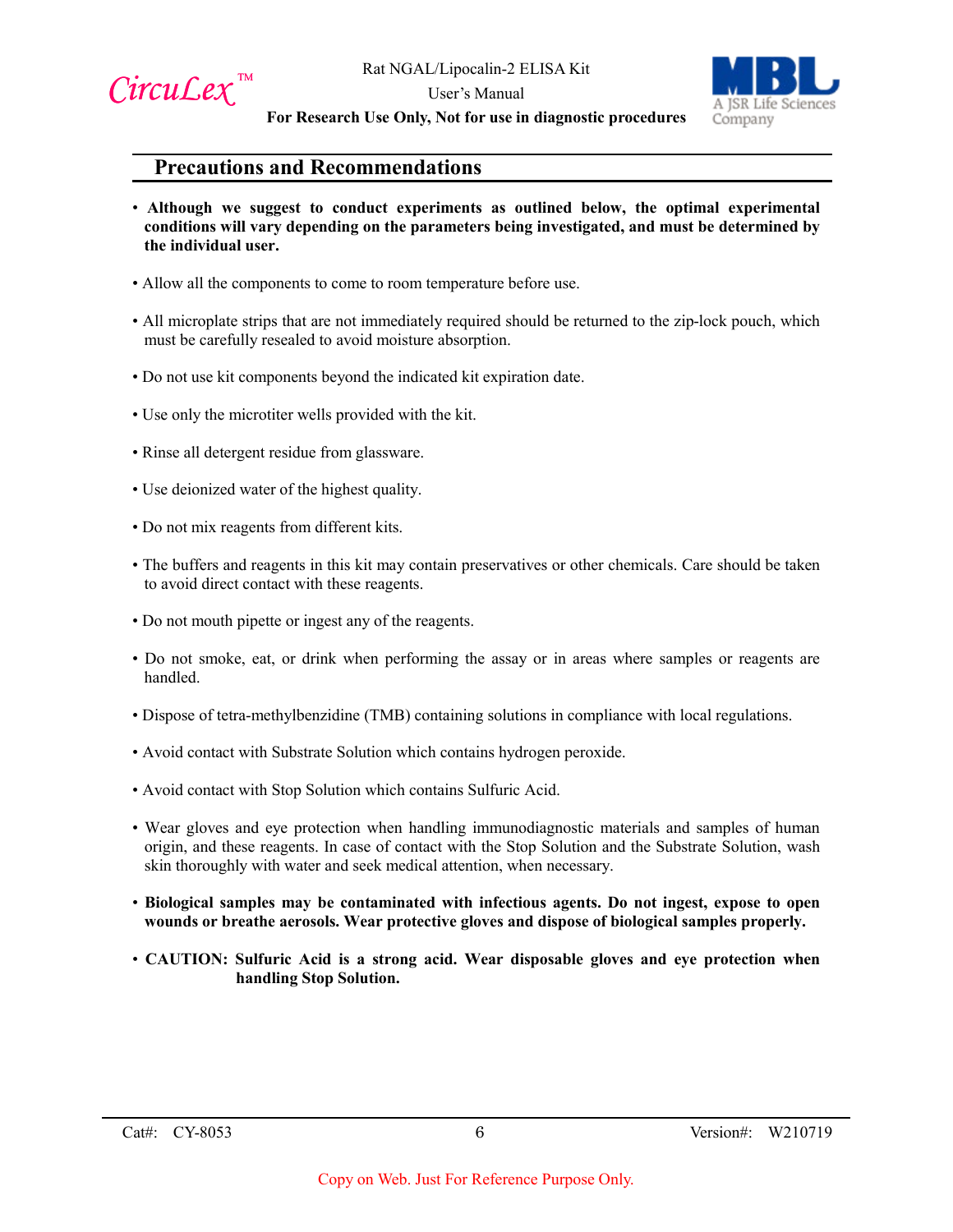



**For Research Use Only, Not for use in diagnostic procedures**

## **Precautions and Recommendations**

- **Although we suggest to conduct experiments as outlined below, the optimal experimental conditions will vary depending on the parameters being investigated, and must be determined by the individual user.**
- Allow all the components to come to room temperature before use.
- All microplate strips that are not immediately required should be returned to the zip-lock pouch, which must be carefully resealed to avoid moisture absorption.
- Do not use kit components beyond the indicated kit expiration date.
- Use only the microtiter wells provided with the kit.
- Rinse all detergent residue from glassware.
- Use deionized water of the highest quality.
- Do not mix reagents from different kits.
- The buffers and reagents in this kit may contain preservatives or other chemicals. Care should be taken to avoid direct contact with these reagents.
- Do not mouth pipette or ingest any of the reagents.
- Do not smoke, eat, or drink when performing the assay or in areas where samples or reagents are handled.
- Dispose of tetra-methylbenzidine (TMB) containing solutions in compliance with local regulations.
- Avoid contact with Substrate Solution which contains hydrogen peroxide.
- Avoid contact with Stop Solution which contains Sulfuric Acid.
- Wear gloves and eye protection when handling immunodiagnostic materials and samples of human origin, and these reagents. In case of contact with the Stop Solution and the Substrate Solution, wash skin thoroughly with water and seek medical attention, when necessary.
- **Biological samples may be contaminated with infectious agents. Do not ingest, expose to open wounds or breathe aerosols. Wear protective gloves and dispose of biological samples properly.**
- **CAUTION: Sulfuric Acid is a strong acid. Wear disposable gloves and eye protection when handling Stop Solution.**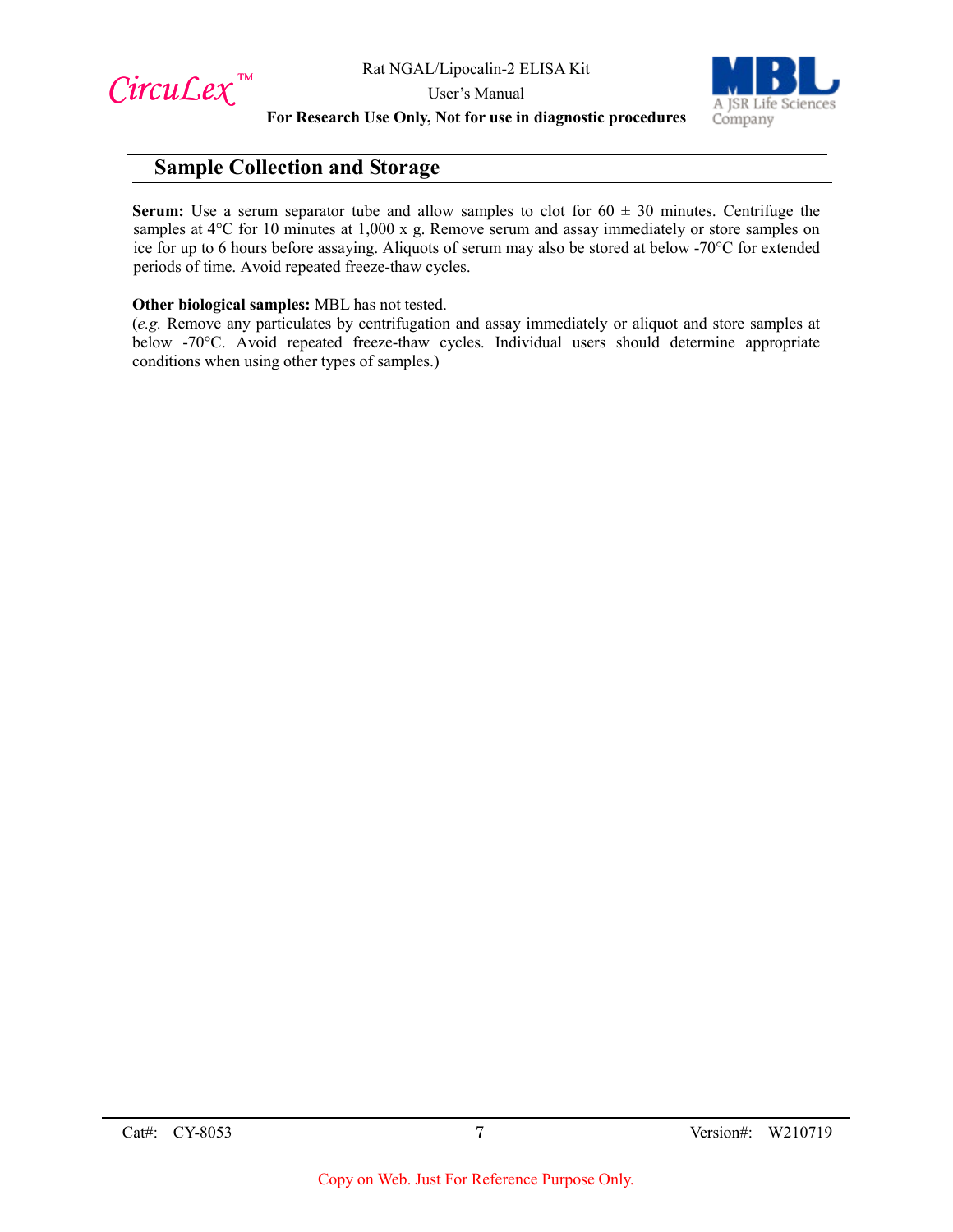$Circu$ *Lex*™



**For Research Use Only, Not for use in diagnostic procedures**

## **Sample Collection and Storage**

**Serum:** Use a serum separator tube and allow samples to clot for  $60 \pm 30$  minutes. Centrifuge the samples at 4<sup>o</sup>C for 10 minutes at 1,000 x g. Remove serum and assay immediately or store samples on ice for up to 6 hours before assaying. Aliquots of serum may also be stored at below -70°C for extended periods of time. Avoid repeated freeze-thaw cycles.

#### **Other biological samples:** MBL has not tested.

(*e.g.* Remove any particulates by centrifugation and assay immediately or aliquot and store samples at below -70°C. Avoid repeated freeze-thaw cycles. Individual users should determine appropriate conditions when using other types of samples.)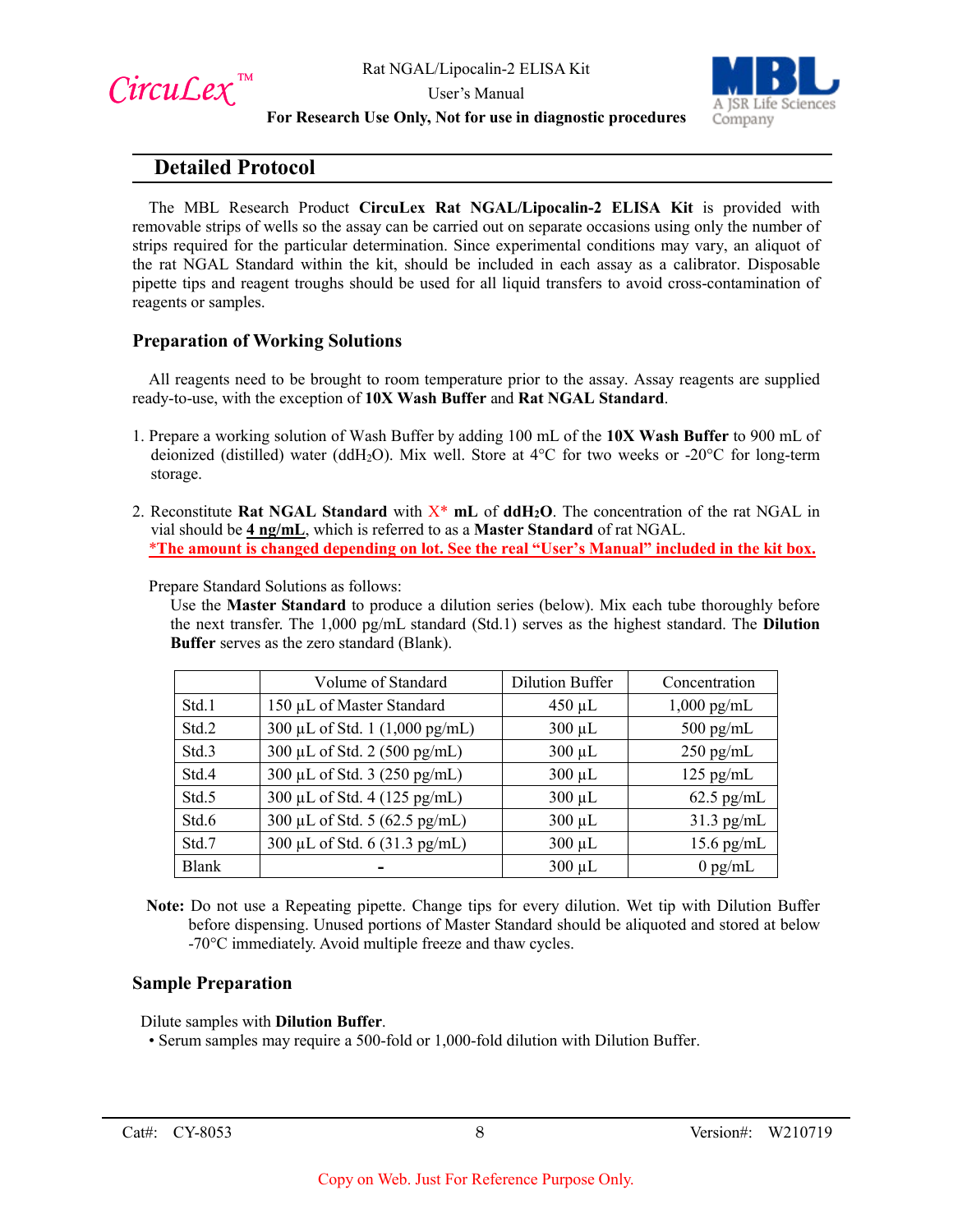

User's Manual



**For Research Use Only, Not for use in diagnostic procedures**

## **Detailed Protocol**

The MBL Research Product **CircuLex Rat NGAL/Lipocalin-2 ELISA Kit** is provided with removable strips of wells so the assay can be carried out on separate occasions using only the number of strips required for the particular determination. Since experimental conditions may vary, an aliquot of the rat NGAL Standard within the kit, should be included in each assay as a calibrator. Disposable pipette tips and reagent troughs should be used for all liquid transfers to avoid cross-contamination of reagents or samples.

## **Preparation of Working Solutions**

All reagents need to be brought to room temperature prior to the assay. Assay reagents are supplied ready-to-use, with the exception of **10X Wash Buffer** and **Rat NGAL Standard**.

- 1. Prepare a working solution of Wash Buffer by adding 100 mL of the **10X Wash Buffer** to 900 mL of deionized (distilled) water (ddH<sub>2</sub>O). Mix well. Store at  $4^{\circ}$ C for two weeks or -20 $^{\circ}$ C for long-term storage.
- 2. Reconstitute **Rat NGAL Standard** with X\* **mL** of **ddH2O**. The concentration of the rat NGAL in vial should be **4 ng/mL**, which is referred to as a **Master Standard** of rat NGAL. \***The amount is changed depending on lot. See the real "User's Manual" included in the kit box.**

Prepare Standard Solutions as follows:

Use the **Master Standard** to produce a dilution series (below). Mix each tube thoroughly before the next transfer. The 1,000 pg/mL standard (Std.1) serves as the highest standard. The **Dilution Buffer** serves as the zero standard (Blank).

|              | Volume of Standard             | <b>Dilution Buffer</b> | Concentration |
|--------------|--------------------------------|------------------------|---------------|
| Std.1        | 150 µL of Master Standard      | $450 \mu L$            | $1,000$ pg/mL |
| Std.2        | 300 μL of Std. 1 (1,000 pg/mL) | $300 \mu L$            | $500$ pg/mL   |
| Std.3        | 300 μL of Std. 2 (500 pg/mL)   | $300 \mu L$            | $250$ pg/mL   |
| Std.4        | 300 µL of Std. 3 (250 pg/mL)   | $300 \mu L$            | $125$ pg/mL   |
| Std.5        | 300 μL of Std. 4 (125 pg/mL)   | $300 \mu L$            | $62.5$ pg/mL  |
| Std.6        | 300 μL of Std. 5 (62.5 pg/mL)  | $300 \mu L$            | $31.3$ pg/mL  |
| Std.7        | 300 μL of Std. 6 (31.3 pg/mL)  | $300 \mu L$            | $15.6$ pg/mL  |
| <b>Blank</b> |                                | $300 \mu L$            | $0$ pg/mL     |

**Note:** Do not use a Repeating pipette. Change tips for every dilution. Wet tip with Dilution Buffer before dispensing. Unused portions of Master Standard should be aliquoted and stored at below -70°C immediately. Avoid multiple freeze and thaw cycles.

#### **Sample Preparation**

Dilute samples with **Dilution Buffer**.

• Serum samples may require a 500-fold or 1,000-fold dilution with Dilution Buffer.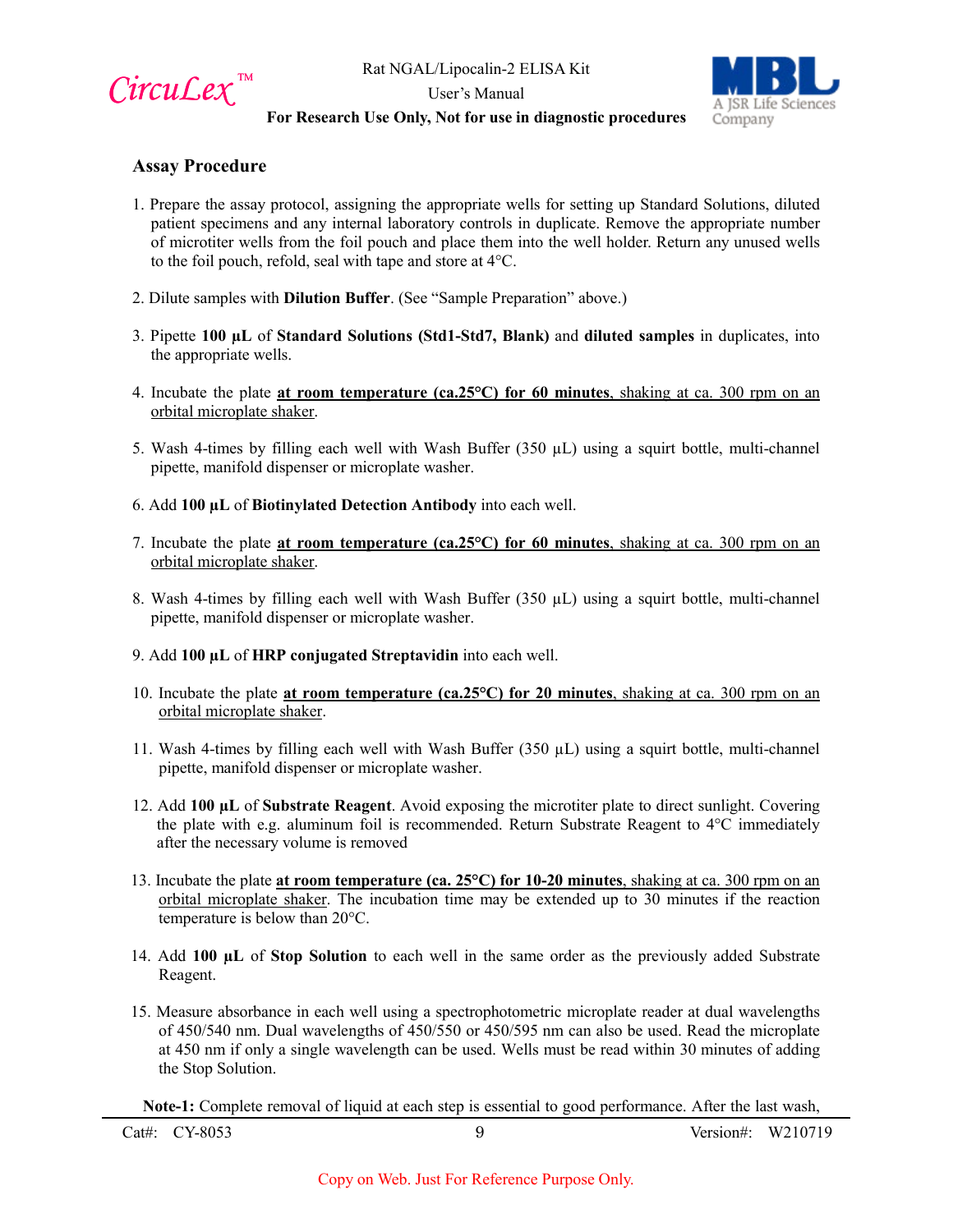

User's Manual



#### **For Research Use Only, Not for use in diagnostic procedures**

#### **Assay Procedure**

- 1. Prepare the assay protocol, assigning the appropriate wells for setting up Standard Solutions, diluted patient specimens and any internal laboratory controls in duplicate. Remove the appropriate number of microtiter wells from the foil pouch and place them into the well holder. Return any unused wells to the foil pouch, refold, seal with tape and store at 4°C.
- 2. Dilute samples with **Dilution Buffer**. (See "Sample Preparation" above.)
- 3. Pipette **100 µL** of **Standard Solutions (Std1-Std7, Blank)** and **diluted samples** in duplicates, into the appropriate wells.
- 4. Incubate the plate **at room temperature (ca.25°C) for 60 minutes**, shaking at ca. 300 rpm on an orbital microplate shaker.
- 5. Wash 4-times by filling each well with Wash Buffer  $(350 \mu L)$  using a squirt bottle, multi-channel pipette, manifold dispenser or microplate washer.
- 6. Add **100 µL** of **Biotinylated Detection Antibody** into each well.
- 7. Incubate the plate **at room temperature (ca.25°C) for 60 minutes**, shaking at ca. 300 rpm on an orbital microplate shaker.
- 8. Wash 4-times by filling each well with Wash Buffer  $(350 \mu L)$  using a squirt bottle, multi-channel pipette, manifold dispenser or microplate washer.
- 9. Add **100 µL** of **HRP conjugated Streptavidin** into each well.
- 10. Incubate the plate **at room temperature (ca.25°C) for 20 minutes**, shaking at ca. 300 rpm on an orbital microplate shaker.
- 11. Wash 4-times by filling each well with Wash Buffer  $(350 \mu L)$  using a squirt bottle, multi-channel pipette, manifold dispenser or microplate washer.
- 12. Add **100 µL** of **Substrate Reagent**. Avoid exposing the microtiter plate to direct sunlight. Covering the plate with e.g. aluminum foil is recommended. Return Substrate Reagent to 4°C immediately after the necessary volume is removed
- 13. Incubate the plate **at room temperature (ca. 25°C) for 10-20 minutes**, shaking at ca. 300 rpm on an orbital microplate shaker. The incubation time may be extended up to 30 minutes if the reaction temperature is below than 20°C.
- 14. Add **100 µL** of **Stop Solution** to each well in the same order as the previously added Substrate Reagent.
- 15. Measure absorbance in each well using a spectrophotometric microplate reader at dual wavelengths of 450/540 nm. Dual wavelengths of 450/550 or 450/595 nm can also be used. Read the microplate at 450 nm if only a single wavelength can be used. Wells must be read within 30 minutes of adding the Stop Solution.

**Note-1:** Complete removal of liquid at each step is essential to good performance. After the last wash,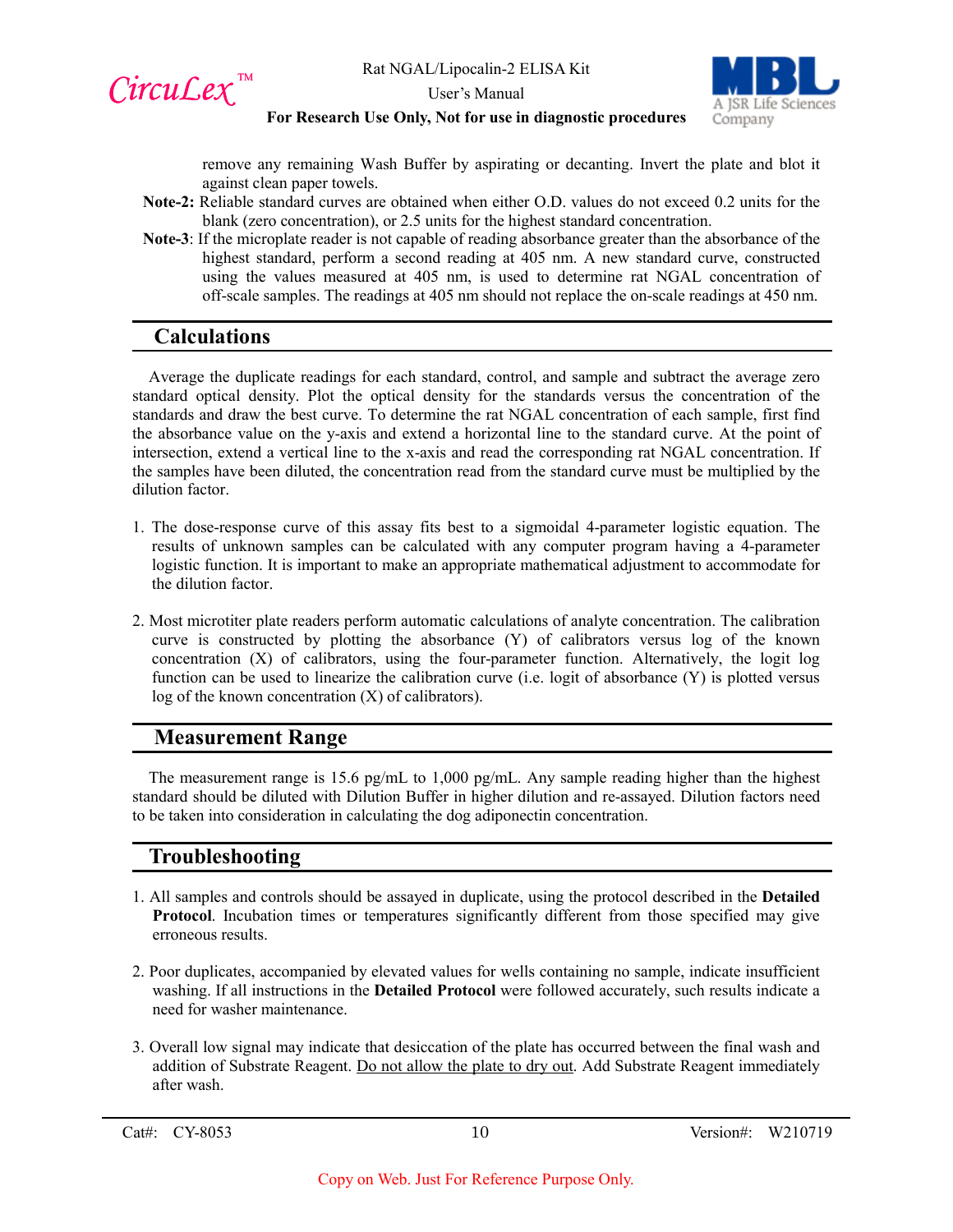CircuLex<sup>™</sup>



User's Manual

#### **For Research Use Only, Not for use in diagnostic procedures**

remove any remaining Wash Buffer by aspirating or decanting. Invert the plate and blot it against clean paper towels.

- **Note-2:** Reliable standard curves are obtained when either O.D. values do not exceed 0.2 units for the blank (zero concentration), or 2.5 units for the highest standard concentration.
- **Note-3**: If the microplate reader is not capable of reading absorbance greater than the absorbance of the highest standard, perform a second reading at 405 nm. A new standard curve, constructed using the values measured at 405 nm, is used to determine rat NGAL concentration of off-scale samples. The readings at 405 nm should not replace the on-scale readings at 450 nm.

## **Calculations**

Average the duplicate readings for each standard, control, and sample and subtract the average zero standard optical density. Plot the optical density for the standards versus the concentration of the standards and draw the best curve. To determine the rat NGAL concentration of each sample, first find the absorbance value on the y-axis and extend a horizontal line to the standard curve. At the point of intersection, extend a vertical line to the x-axis and read the corresponding rat NGAL concentration. If the samples have been diluted, the concentration read from the standard curve must be multiplied by the dilution factor.

- 1. The dose-response curve of this assay fits best to a sigmoidal 4-parameter logistic equation. The results of unknown samples can be calculated with any computer program having a 4-parameter logistic function. It is important to make an appropriate mathematical adjustment to accommodate for the dilution factor.
- 2. Most microtiter plate readers perform automatic calculations of analyte concentration. The calibration curve is constructed by plotting the absorbance (Y) of calibrators versus log of the known concentration (X) of calibrators, using the four-parameter function. Alternatively, the logit log function can be used to linearize the calibration curve (i.e. logit of absorbance (Y) is plotted versus log of the known concentration (X) of calibrators).

## **Measurement Range**

The measurement range is 15.6 pg/mL to 1,000 pg/mL. Any sample reading higher than the highest standard should be diluted with Dilution Buffer in higher dilution and re-assayed. Dilution factors need to be taken into consideration in calculating the dog adiponectin concentration.

## **Troubleshooting**

- 1. All samples and controls should be assayed in duplicate, using the protocol described in the **Detailed**  Protocol. Incubation times or temperatures significantly different from those specified may give erroneous results.
- 2. Poor duplicates, accompanied by elevated values for wells containing no sample, indicate insufficient washing. If all instructions in the **Detailed Protocol** were followed accurately, such results indicate a need for washer maintenance.
- 3. Overall low signal may indicate that desiccation of the plate has occurred between the final wash and addition of Substrate Reagent. Do not allow the plate to dry out. Add Substrate Reagent immediately after wash.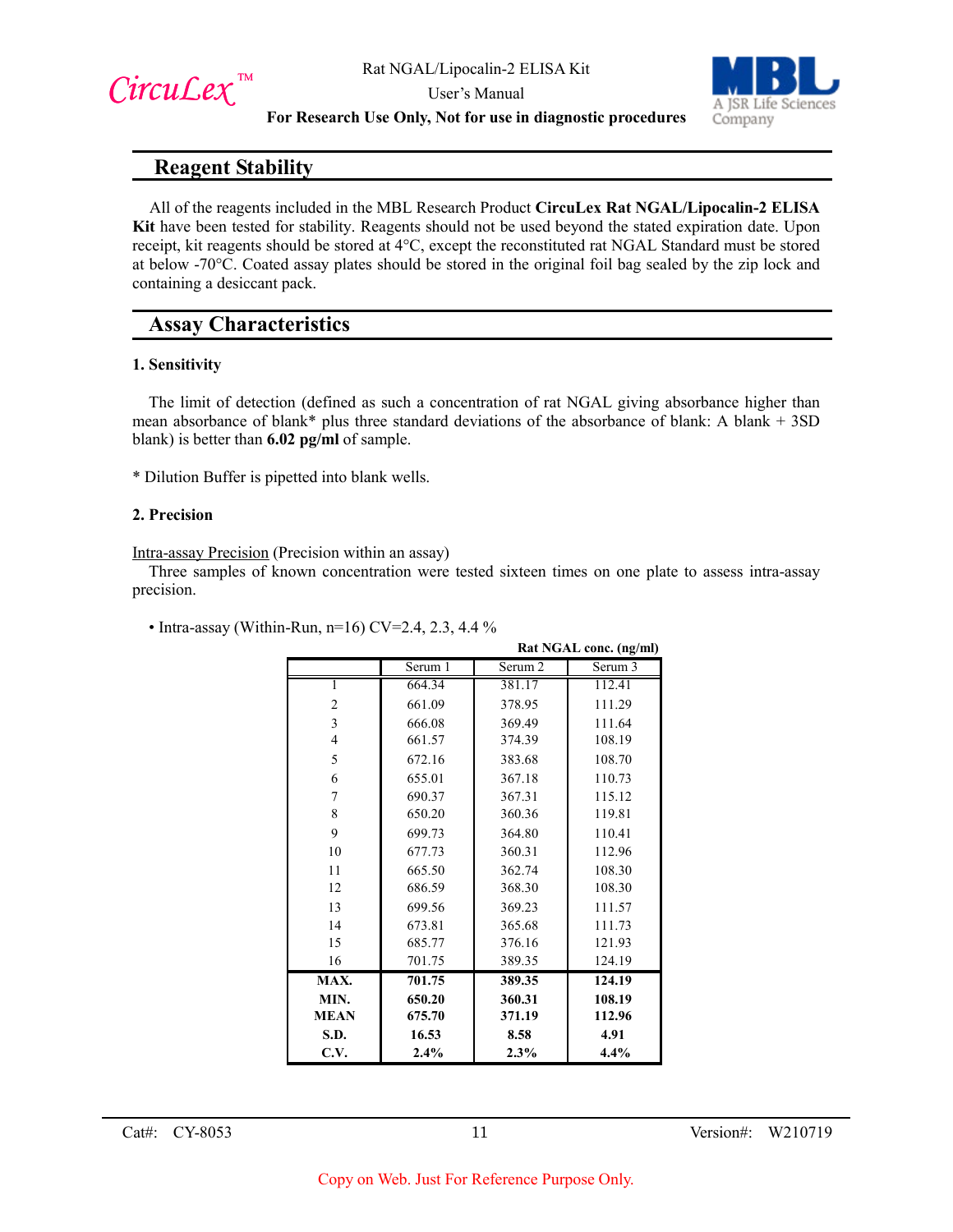



#### **For Research Use Only, Not for use in diagnostic procedures**

## **Reagent Stability**

All of the reagents included in the MBL Research Product **CircuLex Rat NGAL/Lipocalin-2 ELISA Kit** have been tested for stability. Reagents should not be used beyond the stated expiration date. Upon receipt, kit reagents should be stored at 4°C, except the reconstituted rat NGAL Standard must be stored at below -70°C. Coated assay plates should be stored in the original foil bag sealed by the zip lock and containing a desiccant pack.

## **Assay Characteristics**

#### **1. Sensitivity**

The limit of detection (defined as such a concentration of rat NGAL giving absorbance higher than mean absorbance of blank\* plus three standard deviations of the absorbance of blank: A blank + 3SD blank) is better than **6.02 pg/ml** of sample.

\* Dilution Buffer is pipetted into blank wells.

#### **2. Precision**

Intra-assay Precision (Precision within an assay)

Three samples of known concentration were tested sixteen times on one plate to assess intra-assay precision.

|                | Rat NGAL conc. (ng/ml) |         |         |
|----------------|------------------------|---------|---------|
|                | Serum 1                | Serum 2 | Serum 3 |
|                | 664.34                 | 381.17  | 112.41  |
| 2              | 661.09                 | 378.95  | 111.29  |
| 3              | 666.08                 | 369.49  | 111.64  |
| $\overline{4}$ | 661.57                 | 374.39  | 108.19  |
| 5              | 672.16                 | 383.68  | 108.70  |
| 6              | 655.01                 | 367.18  | 110.73  |
| 7              | 690.37                 | 367.31  | 115.12  |
| 8              | 650.20                 | 360.36  | 119.81  |
| 9              | 699.73                 | 364.80  | 110.41  |
| 10             | 677.73                 | 360.31  | 112.96  |
| 11             | 665.50                 | 362.74  | 108.30  |
| 12             | 686.59                 | 368.30  | 108.30  |
| 13             | 699.56                 | 369.23  | 111.57  |
| 14             | 673.81                 | 365.68  | 111.73  |
| 15             | 685.77                 | 376.16  | 121.93  |
| 16             | 701.75                 | 389.35  | 124.19  |
| MAX.           | 701.75                 | 389.35  | 124.19  |
| MIN.           | 650.20                 | 360.31  | 108.19  |
| <b>MEAN</b>    | 675.70                 | 371.19  | 112.96  |
| S.D.           | 16.53                  | 8.58    | 4.91    |
| C.V.           | 2.4%                   | 2.3%    | 4.4%    |

• Intra-assay (Within-Run, n=16) CV=2.4, 2.3, 4.4 %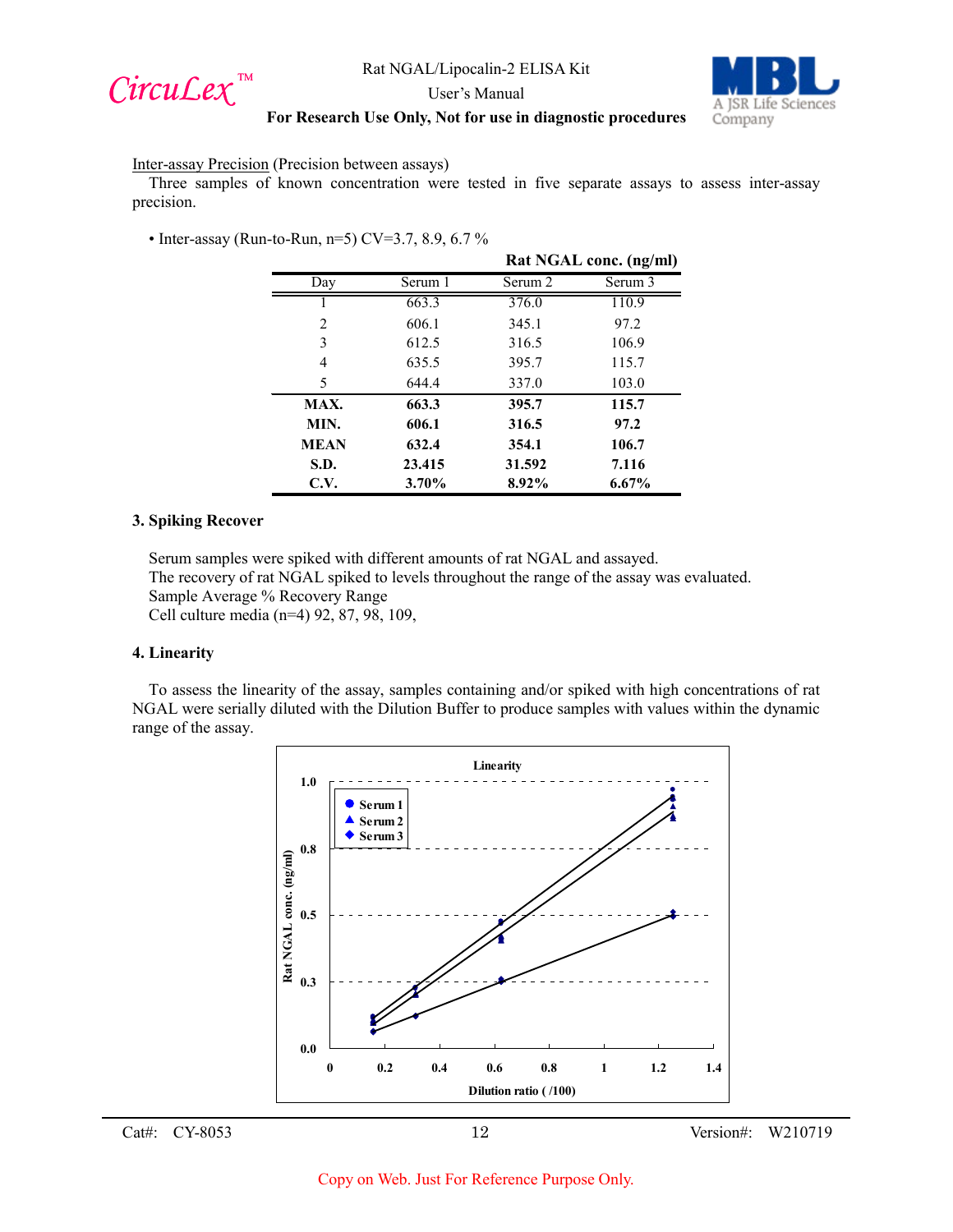



User's Manual

#### **For Research Use Only, Not for use in diagnostic procedures**

Inter-assay Precision (Precision between assays)

Three samples of known concentration were tested in five separate assays to assess inter-assay precision.

• Inter-assay (Run-to-Run, n=5) CV=3.7, 8.9, 6.7 %

|             |         | Rat NGAL conc. (ng/ml) |          |
|-------------|---------|------------------------|----------|
| Day         | Serum 1 | Serum 2                | Serum 3  |
|             | 663.3   | 376.0                  | 110.9    |
| 2           | 606.1   | 345.1                  | 97.2     |
| 3           | 612.5   | 316.5                  | 106.9    |
| 4           | 635.5   | 395.7                  | 115.7    |
| 5           | 644.4   | 337.0                  | 103.0    |
| MAX.        | 663.3   | 395.7                  | 115.7    |
| MIN.        | 606.1   | 316.5                  | 97.2     |
| <b>MEAN</b> | 632.4   | 354.1                  | 106.7    |
| S.D.        | 23.415  | 31.592                 | 7.116    |
| C.V.        | 3.70%   | 8.92%                  | $6.67\%$ |

#### **3. Spiking Recover**

Serum samples were spiked with different amounts of rat NGAL and assayed.

The recovery of rat NGAL spiked to levels throughout the range of the assay was evaluated.

Sample Average % Recovery Range

Cell culture media (n=4) 92, 87, 98, 109,

#### **4. Linearity**

To assess the linearity of the assay, samples containing and/or spiked with high concentrations of rat NGAL were serially diluted with the Dilution Buffer to produce samples with values within the dynamic range of the assay.

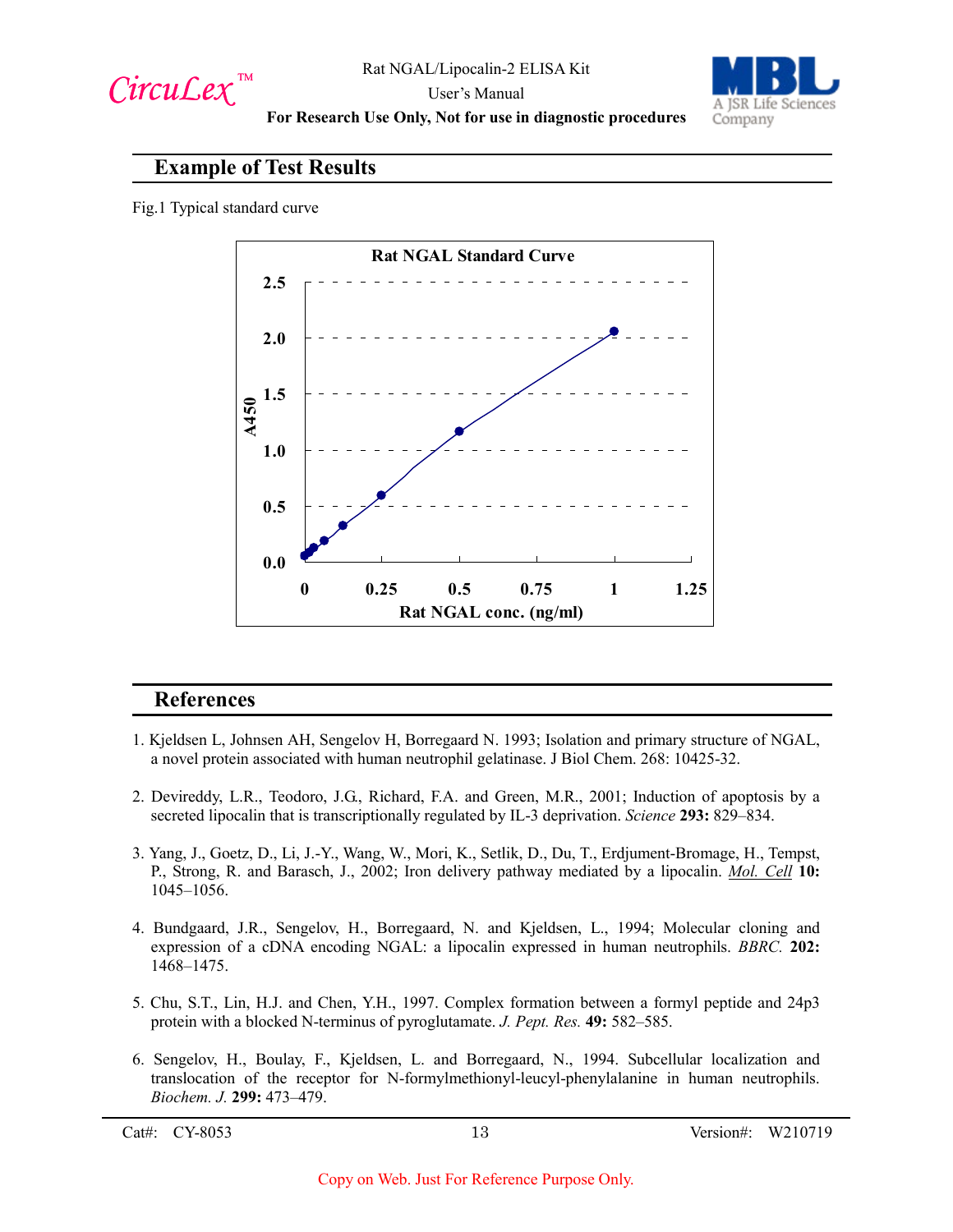



User's Manual **For Research Use Only, Not for use in diagnostic procedures**

## **Example of Test Results**

Fig.1 Typical standard curve



## **References**

- 1. Kjeldsen L, Johnsen AH, Sengelov H, Borregaard N. 1993; Isolation and primary structure of NGAL, a novel protein associated with human neutrophil gelatinase. J Biol Chem. 268: 10425-32.
- 2. Devireddy, L.R., Teodoro, J.G., Richard, F.A. and Green, M.R., 2001; Induction of apoptosis by a secreted lipocalin that is transcriptionally regulated by IL-3 deprivation. *Science* **293:** 829–834.
- 3. Yang, J., Goetz, D., Li, J.-Y., Wang, W., Mori, K., Setlik, D., Du, T., Erdjument-Bromage, H., Tempst, P., Strong, R. and Barasch, J., 2002; Iron delivery pathway mediated by a lipocalin. *Mol. Cell* **10:** 1045–1056.
- 4. Bundgaard, J.R., Sengelov, H., Borregaard, N. and Kjeldsen, L., 1994; Molecular cloning and expression of a cDNA encoding NGAL: a lipocalin expressed in human neutrophils. *BBRC.* **202:** 1468–1475.
- 5. Chu, S.T., Lin, H.J. and Chen, Y.H., 1997. Complex formation between a formyl peptide and 24p3 protein with a blocked N-terminus of pyroglutamate. *J. Pept. Res.* **49:** 582–585.
- 6. Sengelov, H., Boulay, F., Kjeldsen, L. and Borregaard, N., 1994. Subcellular localization and translocation of the receptor for N-formylmethionyl-leucyl-phenylalanine in human neutrophils. *Biochem. J.* **299:** 473–479.